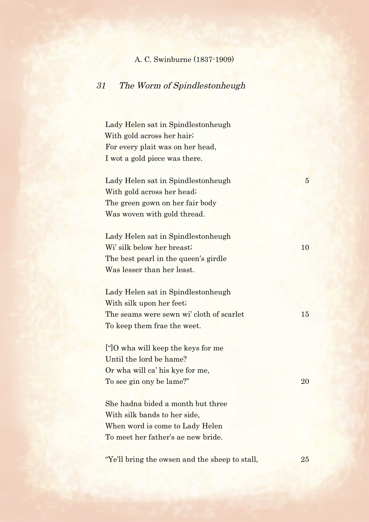## A. C. Swinburne (1837-1909)

## 31 The Worm of Spindlestonheugh

Lady Helen sat in Spindlestonheugh With gold across her hair; For every plait was on her head, I wot a gold piece was there.

Lady Helen sat in Spindlestonheugh 5 With gold across her head; The green gown on her fair body Was woven with gold thread.

Lady Helen sat in Spindlestonheugh Wi' silk below her breast; 10 The best pearl in the queen's girdle Was lesser than her least.

Lady Helen sat in Spindlestonheugh With silk upon her feet; The seams were sewn wi' cloth of scarlet 15 To keep them frae the weet.

["]O wha will keep the keys for me Until the lord be hame? Or wha will ca' his kye for me, To see gin ony be lame?" 20

She hadna bided a month but three With silk bands to her side, When word is come to Lady Helen To meet her father's ae new bride.

"Ye'll bring the owsen and the sheep to stall, 25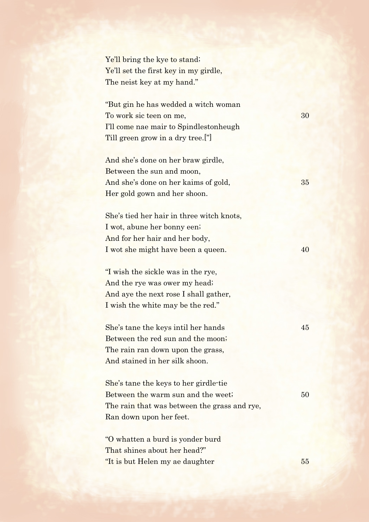Ye'll bring the kye to stand; Ye'll set the first key in my girdle, The neist key at my hand."

"But gin he has wedded a witch woman To work sic teen on me, 30 I'll come nae mair to Spindlestonheugh Till green grow in a dry tree.["]

And she's done on her braw girdle, Between the sun and moon, And she's done on her kaims of gold, 35 Her gold gown and her shoon.

She's tied her hair in three witch knots, I wot, abune her bonny een; And for her hair and her body, I wot she might have been a queen. 40

"I wish the sickle was in the rye, And the rye was ower my head; And aye the next rose I shall gather, I wish the white may be the red."

She's tane the keys intil her hands 45 Between the red sun and the moon; The rain ran down upon the grass, And stained in her silk shoon.

She's tane the keys to her girdle-tie Between the warm sun and the weet; 50 The rain that was between the grass and rye, Ran down upon her feet.

"O whatten a burd is yonder burd That shines about her head?" "It is but Helen my ae daughter 55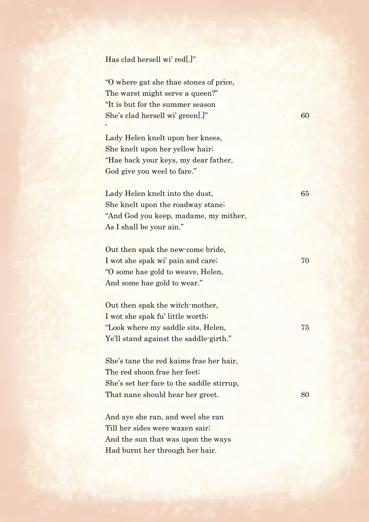## Has clad hersell wi' red[.]"

'

"O where gat she thae stones of price, The warst might serve a queen?" "It is but for the summer season She's clad hersell wi' green[.]" 60

Lady Helen knelt upon her knees, She knelt upon her yellow hair; "Hae back your keys, my dear father, God give you weel to fare."

Lady Helen knelt into the dust, 65 She knelt upon the roadway stane; "And God you keep, madame, my mither, As I shall be your ain."

Out then spak the new-come bride, I wot she spak wi' pain and care; 70 "O some hae gold to weave, Helen, And some hae gold to wear."

Out then spak the witch-mother, I wot she spak fu' little worth; "Look where my saddle sits, Helen, 75 Ye'll stand against the saddle-girth."

She's tane the red kaims frae her hair, The red shoon frae her feet; She's set her face to the saddle stirrup, That nane should hear her greet. 80

And aye she ran, and weel she ran Till her sides were waxen sair; And the sun that was upon the ways Had burnt her through her hair.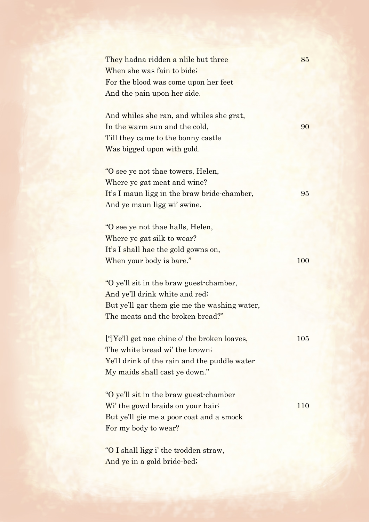| They hadna ridden a nlile but three          | 85         |
|----------------------------------------------|------------|
| When she was fain to bide;                   |            |
| For the blood was come upon her feet         |            |
| And the pain upon her side.                  |            |
|                                              |            |
| And whiles she ran, and whiles she grat,     |            |
| In the warm sun and the cold,                | 90         |
| Till they came to the bonny castle           |            |
| Was bigged upon with gold.                   |            |
|                                              |            |
| "O see ye not thae towers, Helen,            |            |
| Where ye gat meat and wine?                  |            |
| It's I maun ligg in the braw bride-chamber,  | 95         |
| And ye maun ligg wi' swine.                  |            |
|                                              |            |
| "O see ye not thae halls, Helen,             |            |
| Where ye gat silk to wear?                   |            |
| It's I shall hae the gold gowns on,          |            |
| When your body is bare."                     | <b>100</b> |
|                                              |            |
| "O ye'll sit in the braw guest-chamber,      |            |
| And ye'll drink white and red;               |            |
| But ye'll gar them gie me the washing water, |            |
| The meats and the broken bread?"             |            |
| ["]Ye'll get nae chine o' the broken loaves, | 105        |
| The white bread wi' the brown;               |            |
| Ye'll drink of the rain and the puddle water |            |
| My maids shall cast ye down."                |            |
|                                              |            |
| "O ye'll sit in the braw guest-chamber"      |            |
| Wi' the gowd braids on your hair;            | 110        |
| But ye'll gie me a poor coat and a smock     |            |
| For my body to wear?                         |            |
|                                              |            |
| "O I shall ligg i' the trodden straw,        |            |
| And ye in a gold bride-bed;                  |            |
|                                              |            |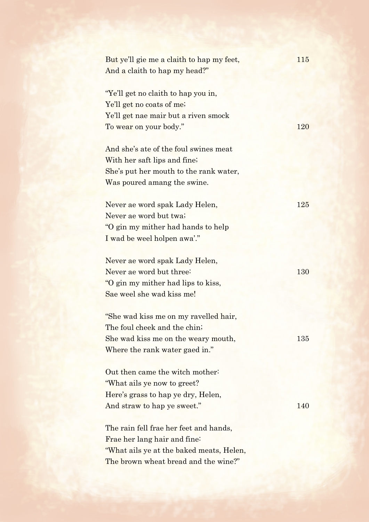| But ye'll gie me a claith to hap my feet, | 115 |
|-------------------------------------------|-----|
| And a claith to hap my head?"             |     |
|                                           |     |
| "Ye'll get no claith to hap you in,       |     |
| Ye'll get no coats of me;                 |     |
| Ye'll get nae mair but a riven smock      |     |
| To wear on your body."                    | 120 |
|                                           |     |
| And she's ate of the foul swines meat     |     |
| With her saft lips and fine;              |     |
| She's put her mouth to the rank water,    |     |
| Was poured amang the swine.               |     |
|                                           |     |
| Never ae word spak Lady Helen,            | 125 |
| Never ae word but twa;                    |     |
| "O gin my mither had hands to help"       |     |
| I wad be weel holpen awa'."               |     |
|                                           |     |
| Never ae word spak Lady Helen,            |     |
| Never ae word but three:                  | 130 |
| "O gin my mither had lips to kiss,        |     |
| Sae weel she wad kiss me!                 |     |
| "She wad kiss me on my ravelled hair,     |     |
| The foul cheek and the chin;              |     |
| She wad kiss me on the weary mouth,       | 135 |
| Where the rank water gaed in."            |     |
|                                           |     |
| Out then came the witch mother:           |     |
| "What ails ye now to greet?"              |     |
| Here's grass to hap ye dry, Helen,        |     |
| And straw to hap ye sweet."               | 140 |
|                                           |     |
| The rain fell frae her feet and hands,    |     |
| Frae her lang hair and fine:              |     |
| "What ails ye at the baked meats, Helen,  |     |
| The brown wheat bread and the wine?"      |     |
|                                           |     |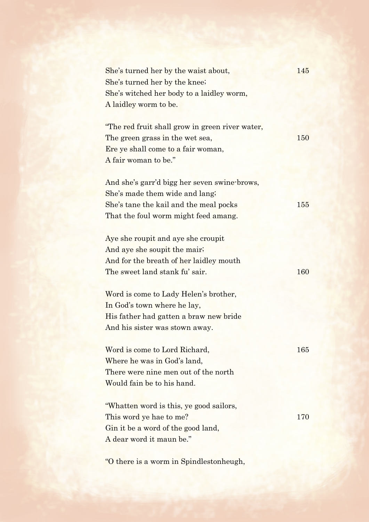| She's turned her by the waist about,            | 145 |
|-------------------------------------------------|-----|
| She's turned her by the knee;                   |     |
| She's witched her body to a laidley worm,       |     |
| A laidley worm to be.                           |     |
|                                                 |     |
| "The red fruit shall grow in green river water, |     |
| The green grass in the wet sea,                 | 150 |
| Ere ye shall come to a fair woman,              |     |
| A fair woman to be."                            |     |
|                                                 |     |
| And she's garr'd bigg her seven swine-brows,    |     |
| She's made them wide and lang;                  |     |
| She's tane the kail and the meal pocks          | 155 |
| That the foul worm might feed amang.            |     |
|                                                 |     |
| Aye she roupit and aye she croupit              |     |
| And aye she soupit the mair;                    |     |
| And for the breath of her laidley mouth         |     |
| The sweet land stank fu' sair.                  | 160 |
|                                                 |     |
| Word is come to Lady Helen's brother,           |     |
| In God's town where he lay,                     |     |
| His father had gatten a braw new bride          |     |
| And his sister was stown away.                  |     |
|                                                 |     |
| Word is come to Lord Richard,                   | 165 |
| Where he was in God's land,                     |     |
| There were nine men out of the north            |     |
| Would fain be to his hand.                      |     |
|                                                 |     |
| "Whatten word is this, ye good sailors,         |     |
| This word ye hae to me?                         | 170 |
| Gin it be a word of the good land,              |     |
| A dear word it maun be."                        |     |
|                                                 |     |
|                                                 |     |

"O there is a worm in Spindlestonheugh,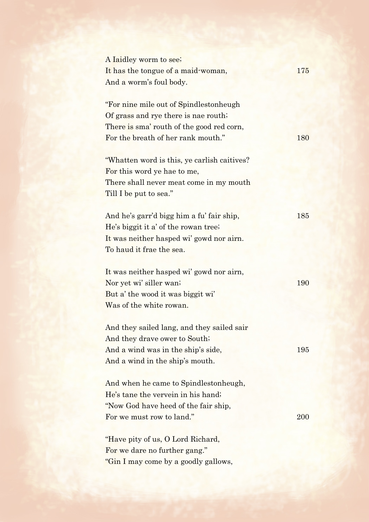| A laidley worm to see;                       |     |
|----------------------------------------------|-----|
| It has the tongue of a maid-woman,           | 175 |
| And a worm's foul body.                      |     |
|                                              |     |
| "For nine mile out of Spindlestonheugh       |     |
| Of grass and rye there is nae routh;         |     |
| There is sma' routh of the good red corn,    |     |
| For the breath of her rank mouth."           | 180 |
| "Whatten word is this, ye carlish caitives?" |     |
| For this word ye hae to me,                  |     |
| There shall never meat come in my mouth      |     |
| Till I be put to sea."                       |     |
|                                              |     |
| And he's garr'd bigg him a fu' fair ship,    | 185 |
| He's biggit it a' of the rowan tree;         |     |
| It was neither hasped wi' gowd nor airn.     |     |
| To haud it frae the sea.                     |     |
|                                              |     |
| It was neither hasped wi' gowd nor airn,     |     |
| Nor yet wi' siller wan;                      | 190 |
| But a' the wood it was biggit wi'            |     |
| Was of the white rowan.                      |     |
| And they sailed lang, and they sailed sair   |     |
| And they drave ower to South;                |     |
| And a wind was in the ship's side,           | 195 |
| And a wind in the ship's mouth.              |     |
| And when he came to Spindleston heugh,       |     |
| He's tane the vervein in his hand;           |     |
| "Now God have heed of the fair ship,         |     |
| For we must row to land."                    | 200 |
|                                              |     |
| "Have pity of us, O Lord Richard,            |     |
| For we dare no further gang."                |     |
| "Gin I may come by a goodly gallows,         |     |
|                                              |     |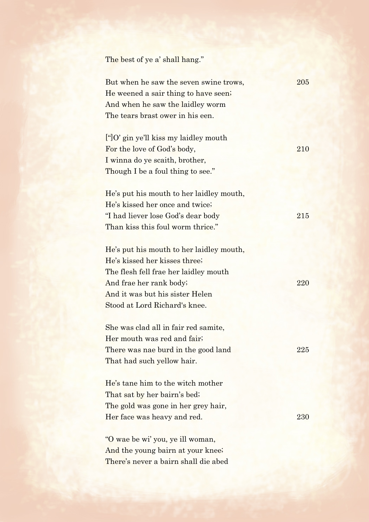The best of ye a' shall hang."

| But when he saw the seven swine trows,                         | 205 |
|----------------------------------------------------------------|-----|
| He weened a sair thing to have seen;                           |     |
| And when he saw the laidley worm                               |     |
| The tears brast ower in his een.                               |     |
|                                                                |     |
| $\lbrack \text{``} \rbrack O'$ gin ye'll kiss my laidley mouth |     |
| For the love of God's body,                                    | 210 |
| I winna do ye scaith, brother,                                 |     |
| Though I be a foul thing to see."                              |     |
|                                                                |     |
| He's put his mouth to her laidley mouth,                       |     |
| He's kissed her once and twice;                                |     |
| "I had liever lose God's dear body"                            | 215 |
| Than kiss this foul worm thrice."                              |     |
|                                                                |     |
| He's put his mouth to her laidley mouth,                       |     |
| He's kissed her kisses three;                                  |     |
| The flesh fell frae her laidley mouth                          |     |
| And frae her rank body;                                        | 220 |
| And it was but his sister Helen                                |     |
| Stood at Lord Richard's knee.                                  |     |
|                                                                |     |
| She was clad all in fair red samite,                           |     |
| Her mouth was red and fair;                                    |     |
| There was nae burd in the good land                            | 225 |
| That had such yellow hair.                                     |     |
|                                                                |     |
| He's tane him to the witch mother                              |     |
| That sat by her bairn's bed;                                   |     |
| The gold was gone in her grey hair,                            |     |
| Her face was heavy and red.                                    | 230 |
|                                                                |     |
| "O wae be wi' you, ye ill woman,                               |     |
| And the young bairn at your knee;                              |     |
| There's never a bairn shall die abed                           |     |